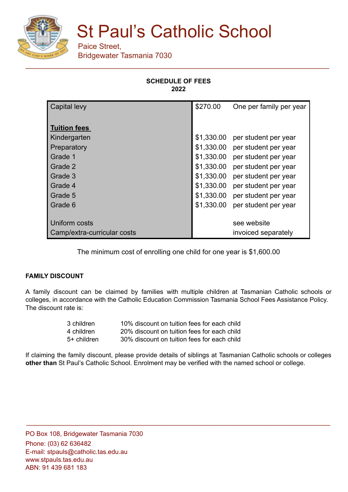

# St Paul's Catholic School

Paice Street, Bridgewater Tasmania 7030

## **SCHEDULE OF FEES 2022**

| <b>Capital levy</b>         | \$270.00   | One per family per year |
|-----------------------------|------------|-------------------------|
|                             |            |                         |
| <b>Tuition fees</b>         |            |                         |
| Kindergarten                | \$1,330.00 | per student per year    |
| Preparatory                 | \$1,330.00 | per student per year    |
| Grade 1                     | \$1,330.00 | per student per year    |
| Grade 2                     | \$1,330.00 | per student per year    |
| Grade 3                     | \$1,330.00 | per student per year    |
| Grade 4                     | \$1,330.00 | per student per year    |
| Grade 5                     | \$1,330.00 | per student per year    |
| Grade 6                     | \$1,330.00 | per student per year    |
|                             |            |                         |
| Uniform costs               |            | see website             |
| Camp/extra-curricular costs |            | invoiced separately     |

The minimum cost of enrolling one child for one year is \$1,600.00

## **FAMILY DISCOUNT**

A family discount can be claimed by families with multiple children at Tasmanian Catholic schools or colleges, in accordance with the Catholic Education Commission Tasmania School Fees Assistance Policy. The discount rate is:

| 3 children    | 10% discount on tuition fees for each child |
|---------------|---------------------------------------------|
| 4 children    | 20% discount on tuition fees for each child |
| $5+$ children | 30% discount on tuition fees for each child |

If claiming the family discount, please provide details of siblings at Tasmanian Catholic schools or colleges **other than** St Paul's Catholic School. Enrolment may be verified with the named school or college.

\_\_\_\_\_\_\_\_\_\_\_\_\_\_\_\_\_\_\_\_\_\_\_\_\_\_\_\_\_\_\_\_\_\_\_\_\_\_\_\_\_\_\_\_\_\_\_\_\_\_\_\_\_\_\_\_\_\_\_\_\_\_\_\_\_\_\_\_\_\_\_\_

PO Box 108, Bridgewater Tasmania 7030 Phone: (03) 62 636482 E-mail: stpauls@catholic.tas.edu.au www.stpauls.tas.edu.au ABN: 91 439 681 183